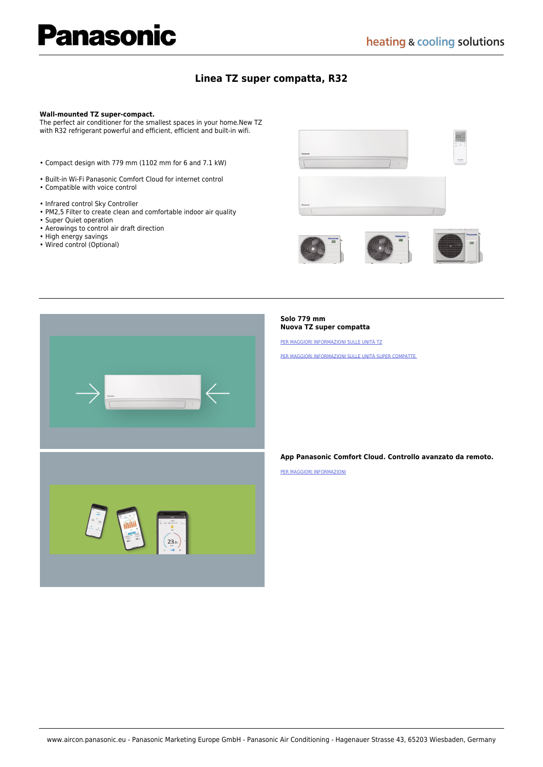# **Panasonic**

### **[Linea TZ super compatta, R32](https://www.aircon.panasonic.eu/IT_it/product/tz-super-compact-r32/)**

#### **Wall-mounted TZ super-compact.**

The perfect air conditioner for the smallest spaces in your home.New TZ with R32 refrigerant powerful and efficient, efficient and built-in wifi.

- Compact design with 779 mm (1102 mm for 6 and 7.1 kW)
- Built-in Wi-Fi Panasonic Comfort Cloud for internet control
- Compatible with voice control
- Infrared control Sky Controller
- PM2,5 Filter to create clean and comfortable indoor air quality
- Super Quiet operation
- Aerowings to control air draft direction
- High energy savings
- Wired control (Optional)





#### **Solo 779 mm Nuova TZ super compatta**

[PER MAGGIORI INFORMAZIONI SULLE UNITÀ TZ](https://www.aircon.panasonic.eu/IT_it/happening/new-tz-te-compact-style/)

[PER MAGGIORI INFORMAZIONI SULLE UNITÀ SUPER COMPATTE](https://www.aircon.panasonic.eu/IT_it/happening/new-super-compact-units/) 

#### **App Panasonic Comfort Cloud. Controllo avanzato da remoto.**

[PER MAGGIORI INFORMAZIONI](https://www.aircon.panasonic.eu/IT_it/happening/panasonic-comfort-cloud-app-21/)